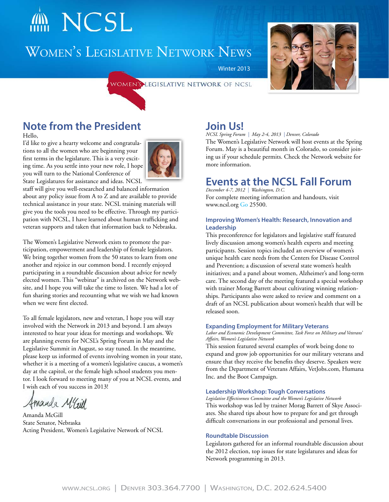# NCSL

# Women's Legislative Network News







# **Note from the President**

Hello,

I'd like to give a hearty welcome and congratulations to all the women who are beginning your first terms in the legislature. This is a very exciting time. As you settle into your new role, I hope you will turn to the National Conference of State Legislatures for assistance and ideas. NCSL



staff will give you well-researched and balanced information about any policy issue from A to Z and are available to provide technical assistance in your state. NCSL training materials will give you the tools you need to be effective. Through my participation with NCSL, I have learned about human trafficking and veteran supports and taken that information back to Nebraska.

The Women's Legislative Network exists to promote the participation, empowerment and leadership of female legislators. We bring together women from the 50 states to learn from one another and rejoice in our common bond. I recently enjoyed participating in a roundtable discussion about advice for newly elected women. This "webinar" is archived on the Network website, and I hope you will take the time to listen. We had a lot of fun sharing stories and recounting what we wish we had known when we were first elected.

To all female legislators, new and veteran, I hope you will stay involved with the Network in 2013 and beyond. I am always interested to hear your ideas for meetings and workshops. We are planning events for NCSL's Spring Forum in May and the Legislative Summit in August, so stay tuned. In the meantime, please keep us informed of events involving women in your state, whether it is a meeting of a women's legislative caucus, a women's day at the capitol, or the female high school students you mentor. I look forward to meeting many of you at NCSL events, and I wish each of you success in 2013!

Amanda Maill

Amanda McGill State Senator, Nebraska Acting President, Women's Legislative Network of NCSL

### **Join Us!**

Winter 2013

*NCSL Spring Forum | May 2-4, 2013 | Denver, Colorado*

The Women's Legislative Network will host events at the Spring Forum. May is a beautiful month in Colorado, so consider joining us if your schedule permits. Check the Network website for more information.

### **Events at the NCSL Fall Forum**

*December 4-7, 2012 | Washington, D.C.* For complete meeting information and handouts, visit www.ncsl.org [Go](http://www.ncsl.org/default.aspx?TabId=25500) 25500.

### **Improving Women's Health: Research, Innovation and Leadership**

This preconference for legislators and legislative staff featured lively discussion among women's health experts and meeting participants. Session topics included an overview of women's unique health care needs from the Centers for Disease Control and Prevention; a discussion of several state women's health initiatives; and a panel about women, Alzheimer's and long-term care. The second day of the meeting featured a special workshop with trainer Morag Barrett about cultivating winning relationships. Participants also were asked to review and comment on a draft of an NCSL publication about women's health that will be released soon.

### **Expanding Employment for Military Veterans**

*Labor and Economic Development Committee, Task Force on Military and Veterans' Affairs, Women's Legislative Network*

This session featured several examples of work being done to expand and grow job opportunities for our military veterans and ensure that they receive the benefits they deserve. Speakers were from the Department of Veterans Affairs, VetJobs.com, Humana Inc. and the Boot Campaign.

### **Leadership Workshop: Tough Conversations**

*Legislative Effectiveness Committee and the Women's Legislative Network* This workshop was led by trainer Morag Barrett of Skye Associates. She shared tips about how to prepare for and get through difficult conversations in our professional and personal lives.

### **Roundtable Discussion**

Legislators gathered for an informal roundtable discussion about the 2012 election, top issues for state legislatures and ideas for Network programming in 2013.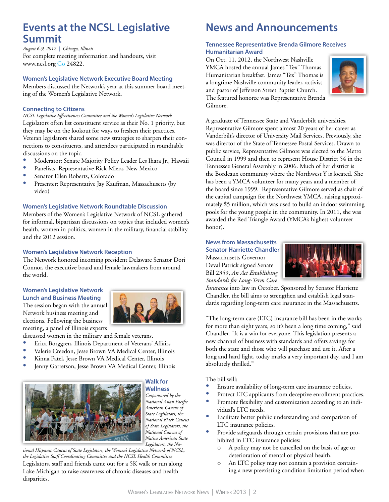### **Events at the NCSL Legislative Summit**

*August 6-9, 2012 | Chicago, Illinois* For complete meeting information and handouts, visit www.ncsl.org [Go 24822.](http://www.ncsl.org/default.aspx?TabId=24822)

#### **Women's Legislative Network Executive Board Meeting**

Members discussed the Network's year at this summer board meeting of the Women's Legislative Network.

### **Connecting to Citizens**

*NCSL Legislative Effectiveness Committee and the Women's Legislative Network*  Legislators often list constituent service as their No. 1 priority, but they may be on the lookout for ways to freshen their practices. Veteran legislators shared some new strategies to sharpen their connections to constituents, and attendees participated in roundtable discussions on the topic.

- Moderator: Senate Majority Policy Leader Les Ihara Jr., Hawaii
- Panelists: Representative Rick Miera, New Mexico
- Senator Ellen Roberts, Colorado<br>• Presenter: Penresentative Isy Key
- Presenter: Representative Jay Kaufman, Massachusetts (by video)

#### **Women's Legislative Network Roundtable Discussion**

Members of the Women's Legislative Network of NCSL gathered for informal, bipartisan discussions on topics that included women's health, women in politics, women in the military, financial stability and the 2012 session.

#### **Women's Legislative Network Reception**

The Network honored incoming president Delaware Senator Dori Connor, the executive board and female lawmakers from around the world.

#### **Women's Legislative Network Lunch and Business Meeting**

The session began with the annual Network business meeting and elections. Following the business meeting, a panel of Illinois experts



discussed women in the military and female veterans.

- • Erica Borggren, Illinois Department of Veterans' Affairs
- Valerie Creedon, Jesse Brown VA Medical Center, Illinois
- • Kinna Patel, Jesse Brown VA Medical Center, Illinois
- Jenny Garretson, Jesse Brown VA Medical Center, Illinois



#### **Walk for Wellness**

*Cosponsored by the National Asian Pacific American Caucus of State Legislators, the National Black Caucus of State Legislators, the National Caucus of Native American State Legislators, the Na-*

*tional Hispanic Caucus of State Legislators, the Women's Legislative Network of NCSL, the Legislative Staff Coordinating Committee and the NCSL Health Committee* Legislators, staff and friends came out for a 5K walk or run along Lake Michigan to raise awareness of chronic diseases and health disparities.

### **News and Announcements**

### **Tennessee Representative Brenda Gilmore Receives Humanitarian Award**

On Oct. 11, 2012, the Northwest Nashville YMCA hosted the annual James "Tex" Thomas Humanitarian breakfast. James "Tex" Thomas is a longtime Nashville community leader, activist and pastor of Jefferson Street Baptist Church. The featured honoree was Representative Brenda Gilmore.



A graduate of Tennessee State and Vanderbilt universities, Representative Gilmore spent almost 20 years of her career as Vanderbilt's director of University Mail Services. Previously, she was director of the State of Tennessee Postal Services. Drawn to public service, Representative Gilmore was elected to the Metro Council in 1999 and then to represent House District 54 in the Tennessee General Assembly in 2006. Much of her district is the Bordeaux community where the Northwest Y is located. She has been a YMCA volunteer for many years and a member of the board since 1999. Representative Gilmore served as chair of the capital campaign for the Northwest YMCA, raising approximately \$5 million, which was used to build an indoor swimming pools for the young people in the community. In 2011, she was awarded the Red Triangle Award (YMCA's highest volunteer honor).

#### **News from Massachusetts**

**Senator Harriette Chandler** Massachusetts Governor Deval Patrick signed Senate Bill 2359, *An Act Establishing Standards for Long-Term Care* 



*Insurance* into law in October. Sponsored by Senator Harriette Chandler, the bill aims to strengthen and establish legal standards regarding long-term care insurance in the Massachusetts.

"The long-term care (LTC) insurance bill has been in the works for more than eight years, so it's been a long time coming," said Chandler. "It is a win for everyone. This legislation presents a new channel of business with standards and offers savings for both the state and those who will purchase and use it. After a long and hard fight, today marks a very important day, and I am absolutely thrilled."

The bill will:

- • Ensure availability of long-term care insurance policies.
- Protect LTC applicants from deceptive enrollment practices.
- Promote flexibility and customization according to an individual's LTC needs.
- Facilitate better public understanding and comparison of LTC insurance policies.
- Provide safeguards through certain provisions that are prohibited in LTC insurance policies:
	- o A policy may not be cancelled on the basis of age or deterioration of mental or physical health.
	- o An LTC policy may not contain a provision containing a new preexisting condition limitation period when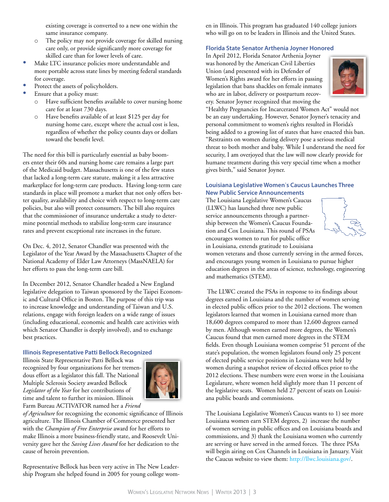existing coverage is converted to a new one within the same insurance company.

- o The policy may not provide coverage for skilled nursing care only, or provide significantly more coverage for skilled care than for lower levels of care.
- Make LTC insurance policies more understandable and more portable across state lines by meeting federal standards for coverage.
- Protect the assets of policyholders.
- Ensure that a policy must:
	- Have sufficient benefits available to cover nursing home care for at least 730 days.
	- o Have benefits available of at least \$125 per day for nursing home care, except where the actual cost is less, regardless of whether the policy counts days or dollars toward the benefit level.

The need for this bill is particularly essential as baby boomers enter their 60s and nursing home care remains a large part of the Medicaid budget. Massachusetts is one of the few states that lacked a long-term care statute, making it a less attractive marketplace for long-term care products. Having long-term care standards in place will promote a market that not only offers better quality, availability and choice with respect to long-term care policies, but also will protect consumers. The bill also requires that the commissioner of insurance undertake a study to determine potential methods to stabilize long-term care insurance rates and prevent exceptional rate increases in the future.

On Dec. 4, 2012, Senator Chandler was presented with the Legislator of the Year Award by the Massachusetts Chapter of the National Academy of Elder Law Attorneys (MassNAELA) for her efforts to pass the long-term care bill.

In December 2012, Senator Chandler headed a New England legislative delegation to Taiwan sponsored by the Taipei Economic and Cultural Office in Boston. The purpose of this trip was to increase knowledge and understanding of Taiwan and U.S. relations, engage with foreign leaders on a wide range of issues (including educational, economic and health care activities with which Senator Chandler is deeply involved), and to exchange best practices.

### **Illinois Representative Patti Bellock Recognized**

Illinois State Representative Patti Bellock was recognized by four organizations for her tremendous effort as a legislator this fall. The National Multiple Sclerosis Society awarded Bellock *Legislator of the Year* for her contributions of time and talent to further its mission. Illinois Farm Bureau ACTIVATOR named her a *Friend* 



*of Agriculture* for recognizing the economic significance of Illinois agriculture. The Illinois Chamber of Commerce presented her with the *Champion of Free Enterprise* award for her efforts to make Illinois a more business-friendly state, and Roosevelt University gave her the *Saving Lives Award* for her dedication to the cause of heroin prevention.

Representative Bellock has been very active in The New Leadership Program she helped found in 2005 for young college women in Illinois. This program has graduated 140 college juniors who will go on to be leaders in Illinois and the United States.

### **Florida State Senator Arthenia Joyner Honored**

In April 2012, Florida Senator Arthenia Joyner was honored by the American Civil Liberties Union (and presented with its Defender of Women's Rights award for her efforts in passing legislation that bans shackles on female inmates who are in labor, delivery or postpartum recovery. Senator Joyner recognized that moving the



"Healthy Pregnancies for Incarcerated Women Act" would not be an easy undertaking. However, Senator Joyner's tenacity and personal commitment to women's rights resulted in Florida's being added to a growing list of states that have enacted this ban. "Restraints on women during delivery pose a serious medical threat to both mother and baby. While I understand the need for security, I am overjoyed that the law will now clearly provide for humane treatment during this very special time when a mother gives birth," said Senator Joyner.

### **Louisiana Legislative Women**'**s Caucus Launches Three New Public Service Announcements**

The Louisiana Legislative Women's Caucus (LLWC) has launched three new public service announcements through a partnership between the Women's Caucus Foundation and Cox Louisiana. This round of PSAs encourages women to run for public office in Louisiana, extends gratitude to Louisiana



women veterans and those currently serving in the armed forces, and encourages young women in Louisiana to pursue higher education degrees in the areas of science, technology, engineering and mathematics (STEM).

The LLWC created the PSAs in response to its findings about degrees earned in Louisiana and the number of women serving in elected public offices prior to the 2012 elections. The women legislators learned that women in Louisiana earned more than 18,600 degrees compared to more than 12,600 degrees earned by men. Although women earned more degrees, the Women's Caucus found that men earned more degrees in the STEM fields. Even though Louisiana women comprise 51 percent of the state's population, the women legislators found only 25 percent of elected public service positions in Louisiana were held by women during a snapshot review of elected offices prior to the 2012 elections. These numbers were even worse in the Louisiana Legislature, where women held slightly more than 11 percent of the legislative seats. Women held 27 percent of seats on Louisiana public boards and commissions.

The Louisiana Legislative Women's Caucus wants to 1) see more Louisiana women earn STEM degrees, 2) increase the number of women serving in public offices and on Louisiana boards and commissions, and 3) thank the Louisiana women who currently are serving or have served in the armed forces. The three PSAs will begin airing on Cox Channels in Louisiana in January. Visit the Caucus website to view them: http://llwc.louisiana.gov/.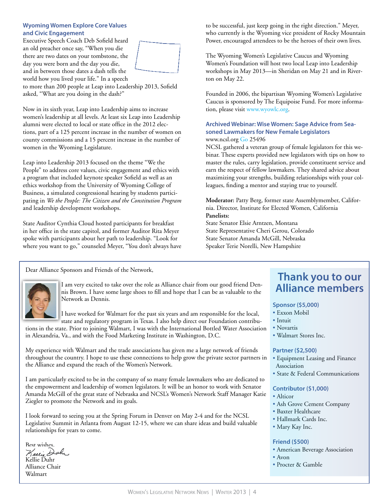#### **Wyoming Women Explore Core Values and Civic Engagement**

Executive Speech Coach Deb Sofield heard an old preacher once say, "When you die there are two dates on your tombstone, the day you were born and the day you die, and in between those dates a dash tells the world how you lived your life." In a speech



to more than 200 people at Leap into Leadership 2013, Sofield asked, "What are you doing in the dash?"

Now in its sixth year, Leap into Leadership aims to increase women's leadership at all levels. At least six Leap into Leadership alumni were elected to local or state office in the 2012 elections, part of a 125 percent increase in the number of women on county commissions and a 15 percent increase in the number of women in the Wyoming Legislature.

Leap into Leadership 2013 focused on the theme "We the People" to address core values, civic engagement and ethics with a program that included keynote speaker Sofield as well as an ethics workshop from the University of Wyoming College of Business, a simulated congressional hearing by students participating in *We the People: The Citizen and the Constitution Program* and leadership development workshops.

State Auditor Cynthia Cloud hosted participants for breakfast in her office in the state capitol, and former Auditor Rita Meyer spoke with participants about her path to leadership. "Look for where you want to go," counseled Meyer, "You don't always have to be successful, just keep going in the right direction." Meyer, who currently is the Wyoming vice president of Rocky Mountain Power, encouraged attendees to be the heroes of their own lives.

The Wyoming Women's Legislative Caucus and Wyoming Women's Foundation will host two local Leap into Leadership workshops in May 2013—in Sheridan on May 21 and in Riverton on May 22.

Founded in 2006, the bipartisan Wyoming Women's Legislative Caucus is sponsored by The Equipoise Fund. For more information, please visit [www.wyowlc.org.](http://www.wyowlc.org)

### **Archived Webinar: Wise Women: Sage Advice from Seasoned Lawmakers for New Female Legislators** www.ncsl.org [Go 25496](http://www.ncsl.org/default.aspx?TabId=25496)

NCSL gathered a veteran group of female legislators for this webinar. These experts provided new legislators with tips on how to master the rules, carry legislation, provide constituent service and earn the respect of fellow lawmakers. They shared advice about maximizing your strengths, building relationships with your colleagues, finding a mentor and staying true to yourself.

**Moderator:** Patty Berg, former state Assemblymember, California. Director, Institute for Elected Women, California **Panelists:**

State Senator Elsie Arntzen, Montana State Representative Cheri Gerou, Colorado State Senator Amanda McGill, Nebraska Speaker Terie Norelli, New Hampshire

Dear Alliance Sponsors and Friends of the Network,



I am very excited to take over the role as Alliance chair from our good friend Dennis Brown. I have some large shoes to fill and hope that I can be as valuable to the Network as Dennis.

I have worked for Walmart for the past six years and am responsible for the local, state and regulatory program in Texas. I also help direct our Foundation contribu-

tions in the state. Prior to joining Walmart, I was with the International Bottled Water Association in Alexandria, Va., and with the Food Marketing Institute in Washington, D.C.

My experience with Walmart and the trade associations has given me a large network of friends throughout the country. I hope to use these connections to help grow the private sector partners in the Alliance and expand the reach of the Women's Network.

I am particularly excited to be in the company of so many female lawmakers who are dedicated to the empowerment and leadership of women legislators. It will be an honor to work with Senator Amanda McGill of the great state of Nebraska and NCSL's Women's Network Staff Manager Katie Ziegler to promote the Network and its goals.

I look forward to seeing you at the Spring Forum in Denver on May 2-4 and for the NCSL Legislative Summit in Atlanta from August 12-15, where we can share ideas and build valuable relationships for years to come.

Best wishes.<br>*Keelie Doh*n Kellie Duhr Alliance Chair Walmart

### **Thank you to our Alliance members**

### **Sponsor (\$5,000)**

- Exxon Mobil
- Intuit
- Novartis
- Walmart Stores Inc.

### **Partner (\$2,500)**

- Equipment Leasing and Finance Association
- State & Federal Communications

### **Contributor (\$1,000)**

- Alticor
- Ash Grove Cement Company
- Baxter Healthcare
- Hallmark Cards Inc.
- Mary Kay Inc.

### **Friend (\$500)**

- American Beverage Association
- Avon
- Procter & Gamble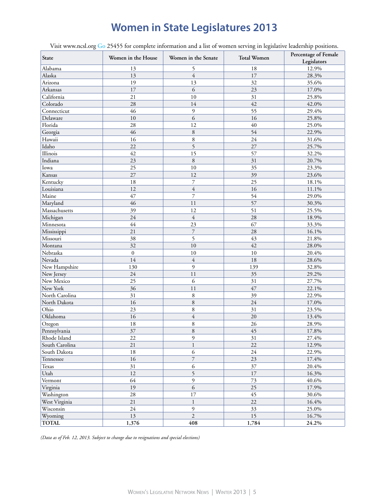# **Women in State Legislatures 2013**

Visit [www.ncsl.org](http://www.ncsl.org) [Go 25455](http://www.ncsl.org/default.aspx?TabId=25455) for complete information and a list of women serving in legislative leadership positions.

| State          | Women in the House | Women in the Senate      | <b>Total Women</b> | Percentage of Female<br>Legislators |
|----------------|--------------------|--------------------------|--------------------|-------------------------------------|
| Alabama        | 13                 | 5                        | 18                 | 12.9%                               |
| Alaska         | 13                 | $\overline{4}$           | 17                 | 28.3%                               |
| Arizona        | 19                 | 13                       | 32                 | 35.6%                               |
| Arkansas       | 17                 | 6                        | 23                 | 17.0%                               |
| California     | 21                 | 10                       | 31                 | 25.8%                               |
| Colorado       | 28                 | 14                       | 42                 | 42.0%                               |
| Connecticut    | 46                 | 9                        | 55                 | 29.4%                               |
| Delaware       | 10                 | 6                        | 16                 | 25.8%                               |
| Florida        | 28                 | 12                       | 40                 | 25.0%                               |
| Georgia        | 46                 | 8                        | 54                 | 22.9%                               |
| Hawaii         | 16                 | 8                        | 24                 | 31.6%                               |
| Idaho          | 22                 | $\overline{5}$           | 27                 | 25.7%                               |
| Illinois       | 42                 | 15                       | 57                 | 32.2%                               |
| Indiana        | 23                 | $\,8\,$                  | 31                 | 20.7%                               |
| Iowa           | 25                 | 10                       | 35                 | 23.3%                               |
| Kansas         | 27                 | 12                       | 39                 | 23.6%                               |
| Kentucky       | 18                 | 7                        | 25                 | 18.1%                               |
| Louisiana      | 12                 | $\overline{4}$           | 16                 | 11.1%                               |
| Maine          | 47                 | $\overline{7}$           | 54                 | 29.0%                               |
| Maryland       | 46                 | 11                       | 57                 | 30.3%                               |
| Massachusetts  | 39                 | 12                       | 51                 | 25.5%                               |
| Michigan       | 24                 | $\overline{4}$           | 28                 | 18.9%                               |
| Minnesota      | 44                 | 23                       | 67                 | 33.3%                               |
| Mississippi    | 21                 | $\overline{7}$           | 28                 | 16.1%                               |
| Missouri       | 38                 | 5                        | 43                 | 21.8%                               |
| Montana        | 32                 | 10                       | 42                 | 28.0%                               |
| Nebraska       | $\boldsymbol{0}$   | 10                       | 10                 | 20.4%                               |
| Nevada         | 14                 | $\overline{4}$           | 18                 | 28.6%                               |
| New Hampshire  | 130                | 9                        | 139                | 32.8%                               |
| New Jersey     | 24                 | 11                       | 35                 | 29.2%                               |
| New Mexico     | 25                 | 6                        | 31                 | 27.7%                               |
| New York       | 36                 | 11                       | 47                 | 22.1%                               |
| North Carolina | 31                 | 8                        | 39                 | 22.9%                               |
| North Dakota   | 16                 | $\,$ 8 $\,$              | 24                 | 17.0%                               |
| Ohio           | 23                 | 8                        | 31                 | 23.5%                               |
| Oklahoma       | 16                 | $\overline{4}$           | 20                 | 13.4%                               |
| Oregon         | 18                 | $\,$ 8 $\,$              | 26                 | 28.9%                               |
| Pennsylvania   | 37                 | 8                        | 45                 | 17.8%                               |
| Rhode Island   | $22\,$             | $\mathfrak{g}$           | 31                 | 27.4%                               |
| South Carolina | 21                 | $\mathbf{1}$             | 22                 | 12.9%                               |
| South Dakota   | $18\,$             | 6                        | 24                 | 22.9%                               |
| Tennessee      | 16                 | $\overline{\phantom{a}}$ | 23                 | 17.4%                               |
| Texas          | 31                 | $\sqrt{6}$               | 37                 | $20.4\%$                            |
| Utah           | 12                 | 5                        | 17                 | 16.3%                               |
| Vermont        | 64                 | 9                        | 73                 | 40.6%                               |
| Virginia       | 19                 | $\overline{6}$           | 25                 | 17.9%                               |
| Washington     | 28                 | 17                       | 45                 | 30.6%                               |
| West Virginia  | 21                 | $\mathbf{1}$             | 22                 | 16.4%                               |
| Wisconsin      | $24\,$             | $\mathfrak{g}$           | 33                 | 25.0%                               |
| Wyoming        | $13\,$             | $\overline{2}$           | 15                 | 16.7%                               |
| <b>TOTAL</b>   | 1,376              | 408                      | 1,784              | 24.2%                               |

*(Data as of Feb. 12, 2013. Subject to change due to resignations and special elections)*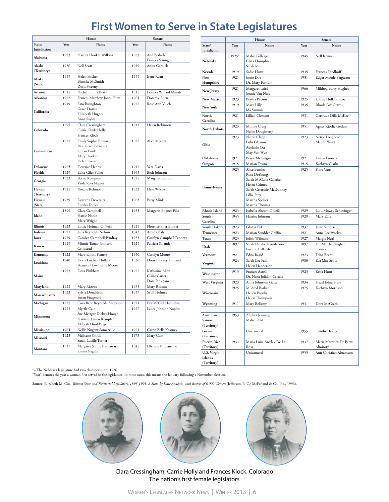# **First Women to Serve in State Legislatures**

|                        |      | House                                                                                    | Senate |                                                  |
|------------------------|------|------------------------------------------------------------------------------------------|--------|--------------------------------------------------|
| State/<br>Jurisdiction | Year | Name                                                                                     | Year   | Name                                             |
| Alabama                | 1923 | Harriet Hooker Wilkins                                                                   | 1983   | Ann Bedsole<br>Frances Strong                    |
| Alaska<br>(Territory)  | 1936 | Nell Scott                                                                               | 1949   | Anita Garnick                                    |
| Alaska                 | 1959 | Helen Fischer                                                                            | 1959   | Irene Ryan                                       |
| (State)                |      | <b>Blanche McSmith</b><br>Doris Sweeny                                                   |        |                                                  |
| Arizona                | 1915 | Rachel Emma Berry                                                                        | 1915   | Frances Willard Munds                            |
| Arkansas               | 1922 | Frances Matthew Jones Hunt                                                               | 1964   | Dorathy Allen                                    |
|                        | 1919 | Esto Broughton                                                                           | 1977   | Rose Ann Vuich                                   |
| California             |      | Grace Dorris<br>Elizabeth Hughes<br>Anna Saylor                                          |        |                                                  |
| Colorado               | 1895 | Clara Cressingham<br>Carrie Clyde Holly<br>Frances Klock                                 | 1913   | Helen Robinson                                   |
| Connecticut            | 1921 | Emily Sophie Brown<br>Rev. Grace Edwards<br>Lillian Frink<br>Mary Hooker<br>Helen Jewett | 1925   | Alice Merritt                                    |
| Delaware               | 1925 | Florence Hanby                                                                           | 1947   | Vera Davis                                       |
| Florida                | 1929 | Edna Giles Fuller                                                                        | 1963   | Beth Johnson                                     |
| Georgia                | 1923 | <b>Bessie Kempton</b><br>Viola Ross Napier                                               | 1925   | Margaret Johnson                                 |
| Hawaii                 | 1925 | Rosalie Keliinoi                                                                         | 1933   | Elsie Wilcox                                     |
| (Territory)            |      |                                                                                          |        |                                                  |
| Hawaii<br>(State)      | 1959 | Dorothy Devereux<br>Eureka Forbes                                                        | 1963   | Patsy Mink                                       |
| Idaho                  | 1899 | Clara Campbell<br>Hattie Noble<br>Mary Wright                                            | 1935   | Margaret Bognet Pike                             |
| Illinois               | 1923 | Lottie Holman O'Neill                                                                    | 1925   | Florence Fifer Bohrer                            |
| Indiana                | 1921 | Julia Reynolds Nelson                                                                    | 1943   | Arcada Balz                                      |
| Iowa                   | 1929 | Carolyn Campbell Pendray                                                                 | 1933   | Carolyn Campbell Pendray                         |
| Kansas                 | 1919 | Minnie Tamar Johnson<br>Grinstead                                                        | 1929   | Patricia Solander                                |
| Kentucky               | 1922 | Mary Elliott Flanery                                                                     | 1950   | Carolyn Moore                                    |
| Louisiana              | 1940 | Doris Lindsey Holland<br><b>Beatrice Hawthorne Moore</b>                                 | 1936   | Doris Lindsey Holland                            |
| Maine                  | 1923 | Dora Pinkham                                                                             | 1927   | Katharine Allen<br>Claire Carter<br>Dora Pinkham |
| Maryland               | 1922 | Mary Risteau                                                                             | 1935   | Mary Risteau                                     |
| Massachusetts          | 1923 | Sylvia Donaldson<br>Susan Fitzgerald                                                     | 1937   | Sybil Holmes                                     |
| Michigan               | 1925 | Cora Belle Reynolds Anderson                                                             | 1921   | Eva McCall Hamilton                              |
| Minnesota              | 1923 | Myrtle Cain<br>Sue Metzger Dickey Hough<br>Hannah Jensen Kempfer<br>Mabeth Hurd Paige    | 1927   | Laura Johnson Naplin                             |
| Mississippi            | 1924 | Nellie Nugent Somerville                                                                 | 1924   | Carrie Belle Kearney                             |
| Missouri               | 1923 | Mellcene Smith<br>Sarah Lucille Turner                                                   | 1973   | Mary Gant                                        |
| Montana                | 1917 | Margaret Smith Hathaway<br>Emma Ingalls                                                  | 1945   | <b>Ellenore Bridenstine</b>                      |

|                   |       | House                                     |      | Senate                  |
|-------------------|-------|-------------------------------------------|------|-------------------------|
| State/            | Year  | Name                                      | Year | Name                    |
| Jurisdiction      |       |                                           |      |                         |
|                   | 1925* | Mabel Gillespie                           | 1945 | Nell Krause             |
| Nebraska          |       | Clara Humphrey                            |      |                         |
|                   |       | Sarah Muir                                |      |                         |
| Nevada            | 1919  | Sadie Hurst                               | 1935 | Frances Friedhoff       |
| New               | 1921  | <b>Jessie</b> Doe                         | 1931 | Edgar Maude Ferguson    |
| Hampshire         |       | Dr. Mary Farnum                           |      |                         |
| New Jersey        | 1921  | Margaret Laird                            | 1966 | Mildred Barry Hughes    |
|                   |       | Jennie Van Ness                           |      |                         |
| New Mexico        | 1923  | Bertha Paxton                             | 1925 | Louise Holland Coe      |
| New York          | 1919  | Mary Lilly<br>Ida Sammis                  | 1935 | Rhoda Fox Graves        |
| North<br>Carolina | 1921  | Lillian Clement                           | 1931 | Gertrude Dills McKee    |
| North Dakota      | 1923  | Minnie Craig                              | 1951 | Agnes Kjorlie Geelan    |
|                   |       | Nellie Doughterty                         |      |                         |
|                   | 1923  | Nettie Clapp                              | 1923 | Nettie Loughead         |
| Ohio              |       | Lulu Gleason                              |      | Maude Waitt             |
|                   |       | Adelaide Ott                              |      |                         |
|                   |       | May Van Wye                               |      |                         |
| Oklahoma          | 1921  | <b>Bessie McColgin</b>                    | 1921 | Lamar Looney            |
| Oregon            | 1915  | Marian Towne                              | 1915 | Kathryn Clarke          |
|                   | 1923  | Alice Bentley                             | 1925 | Flora Vare              |
|                   |       | Rosa DeYoung<br>Sarah McCune Gallaher     |      |                         |
|                   |       | <b>Helen Grimes</b>                       |      |                         |
| Pennsylvania      |       | Sarah Gertrude MacKinney                  |      |                         |
|                   |       | <b>Lillie Pitts</b>                       |      |                         |
|                   |       | Martha Speiser                            |      |                         |
|                   |       | Martha Thomas                             |      |                         |
| Rhode Island      | 1923  | Isabella Ahearn ONeill                    | 1929 | Lulu Mowry Schlesinger  |
| South             | 1945  | Harriet Johnson                           | 1929 | Mary Ellis              |
| Carolina          |       |                                           |      |                         |
| South Dakota      | 1923  | Gladys Pyle                               | 1937 | Jessie Sanders          |
| Tennessee         | 1923  | Marian Scudder Griffin                    | 1921 | Anna Lee Worley         |
| Texas             | 1923  | Edith Wilmans                             | 1927 | Margie Neal             |
| Utah              | 1897  | Sarah Elizabeth Anderson                  | 1897 | Dr. Martha Hughes       |
|                   |       | Eurithe LaBarthe                          |      | Cannon                  |
| Vermont           | 1921  | Edna Beard                                | 1923 | Edna Beard              |
| Virginia          | 1924  | Sarah Lee Fain                            | 1980 | Eva Mae Scott           |
|                   |       | Helen Henderson                           |      |                         |
| Washington        | 1913  | Frances Axtell<br>Dr. Nena Jolidon Croake | 1923 | Reba Hurn               |
| West Virginia     | 1923  | Anna Johnston Gates                       | 1934 | Hazel Edna Hyre         |
|                   | 1925  | Mildred Barber                            | 1975 | Kathryn Morrison        |
| Wisconsin         |       | Hellen Brooks                             |      |                         |
|                   |       | Helen Thompson                            |      |                         |
| Wyoming           | 1911  | Mary Bellamy                              | 1931 | Dora McGrath            |
|                   |       |                                           |      |                         |
| American          | 1953  | Zilpher Jennings                          |      |                         |
| Samoa             |       | Mabel Reid                                |      |                         |
| (Territory)       |       |                                           |      |                         |
| Guam              |       | Unicameral                                | 1955 | Cynthia Torres          |
| (Territory)       |       |                                           |      |                         |
| Puerto Rico       | 1933  | Maria Luisa Arcelay De La                 | 1937 | Maria Martinez De Perez |
| (Territory)       |       | Rosa                                      |      | Almiroty                |
| U.S. Virgin       |       | Unicameral                                | 1953 | Ann Christian Abramson  |
| Islands           |       |                                           |      |                         |
| (Territory)       |       |                                           |      |                         |

\*= The Nebraska legislature had two chambers until 1936. "Year" denotes the year a woman first served in the legislature. In most cases, this means the January following a November election.

**Source:** Elizabeth M. Cox, *Women State and Territorial Legislators, 1895-1995: A State-by State Analysis, with Rosters of 6,000 Women* (Jefferson, N.C.: McFarland & Co. Inc., 1996).







Clara Cressingham, Carrie Holly and Frances Klock, Colorado The nation's first female legislators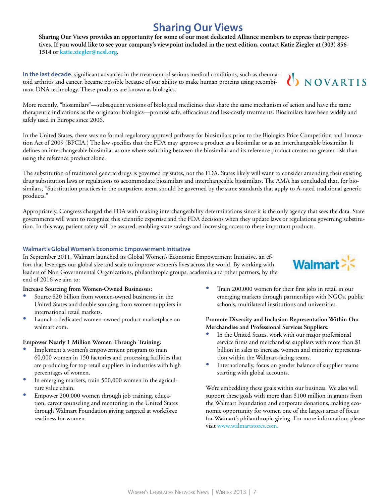# **Sharing Our Views**

**Sharing Our Views provides an opportunity for some of our most dedicated Alliance members to express their perspectives. If you would like to see your company's viewpoint included in the next edition, contact Katie Ziegler at (303) 856- 1514 or [katie.ziegler@ncsl.org](mailto:katie.ziegler%40ncsl.org?subject=).**

**In the last decade**, significant advances in the treatment of serious medical conditions, such as rheumatoid arthritis and cancer, became possible because of our ability to make human proteins using recombinant DNA technology. These products are known as biologics.

More recently, "biosimilars"—subsequent versions of biological medicines that share the same mechanism of action and have the same therapeutic indications as the originator biologics—promise safe, efficacious and less-costly treatments. Biosimilars have been widely and safely used in Europe since 2006.

In the United States, there was no formal regulatory approval pathway for biosimilars prior to the Biologics Price Competition and Innovation Act of 2009 (BPCIA.) The law specifies that the FDA may approve a product as a biosimilar or as an interchangeable biosimilar. It defines an interchangeable biosimilar as one where switching between the biosimilar and its reference product creates no greater risk than using the reference product alone.

The substitution of traditional generic drugs is governed by states, not the FDA. States likely will want to consider amending their existing drug substitution laws or regulations to accommodate biosimilars and interchangeable biosimilars. The AMA has concluded that, for biosimilars, "Substitution practices in the outpatient arena should be governed by the same standards that apply to A-rated traditional generic products."

Appropriately, Congress charged the FDA with making interchangeability determinations since it is the only agency that sees the data. State governments will want to recognize this scientific expertise and the FDA decisions when they update laws or regulations governing substitution. In this way, patient safety will be assured, enabling state savings and increasing access to these important products.

### **Walmart's Global Women's Economic Empowerment Initiative**

In September 2011, Walmart launched its Global Women's Economic Empowerment Initiative, an effort that leverages our global size and scale to improve women's lives across the world. By working with leaders of Non Governmental Organizations, philanthropic groups, academia and other partners, by the end of 2016 we aim to:

### **Increase Sourcing from Women-Owned Businesses:**

- Source \$20 billion from women-owned businesses in the United States and double sourcing from women suppliers in international retail markets.
- • Launch a dedicated women-owned product marketplace on walmart.com.

### **Empower Nearly 1 Million Women Through Training:**

- Implement a women's empowerment program to train 60,000 women in 150 factories and processing facilities that are producing for top retail suppliers in industries with high percentages of women.
- In emerging markets, train 500,000 women in the agriculture value chain.
- Empower 200,000 women through job training, education, career counseling and mentoring in the United States through Walmart Foundation giving targeted at workforce readiness for women.

• Train 200,000 women for their first jobs in retail in our emerging markets through partnerships with NGOs, public schools, multilateral institutions and universities.

### **Promote Diversity and Inclusion Representation Within Our Merchandise and Professional Services Suppliers:**

- In the United States, work with our major professional service firms and merchandise suppliers with more than \$1 billion in sales to increase women and minority representation within the Walmart-facing teams.
- Internationally, focus on gender balance of supplier teams starting with global accounts.

We're embedding these goals within our business. We also will support these goals with more than \$100 million in grants from the Walmart Foundation and corporate donations, making economic opportunity for women one of the largest areas of focus for Walmart's philanthropic giving. For more information, please visit [www.walmartstores.com](http://www.walmartstores.com).



**UNOVARTIS**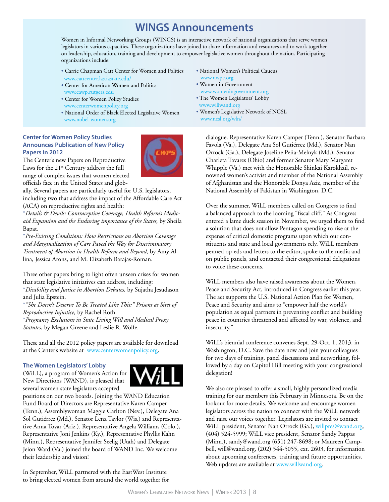### **WINGS Announcements**

Women in Informal Networking Groups (WINGS) is an interactive network of national organizations that serve women legislators in various capacities. These organizations have joined to share information and resources and to work together on leadership, education, training and development to empower legislative women throughout the nation. Participating organizations include:

- Carrie Chapman Catt Center for Women and Politics www.cattcenter.las.iastate.edu/
- Center for American Women and Politics
- [www.cawp.rutgers.edu](http://www.cawp.rutgers.edu) • Center for Women Policy Studies
- [www.centerwomenpolicy.org](http://www.centerwomenpolicy.org)
- National Order of Black Elected Legislative Women [www.nobel-women.org](http://www.nobel-women.org)

### **Center for Women Policy Studies Announces Publication of New Policy Papers in 2012**



The Center's new Papers on Reproductive Laws for the 21<sup>st</sup> Century address the full range of complex issues that women elected officials face in the United States and glob-

ally. Several papers are particularly useful for U.S. legislators, including two that address the impact of the Affordable Care Act (ACA) on reproductive rights and health:

\**Details & Devils: Contraceptive Coverage, Health Reform's Medicaid Expansion and the Enduring importance of the States,* by Sheila Bapat.

\**Pre-Existing Conditions: How Restrictions on Abortion Coverage and Marginalization of Care Paved the Way for Discriminatory Treatment of Abortion in Health Reform and Beyond,* by Amy Allina, Jessica Arons, and M. Elizabeth Barajas-Roman.

Three other papers bring to light often unseen crises for women that state legislative initiatives can address, including: \**Disability and Justice in Abortion Debates,* by Sujatha Jesudason and Julia Epstein.

\**"She Doesn't Deserve To Be Treated Like This:" Prisons as Sites of Reproductive Injustice,* by Rachel Roth.

\**Pregnancy Exclusions in State Living Will and Medical Proxy Statutes*, by Megan Greene and Leslie R. Wolfe.

These and all the 2012 policy papers are available for download at the Center's website at [www.centerwomenpolicy.org](http://www.centerwomenpolicy.org).

### **The Women Legislators' Lobby**

(WiLL), a program of Women's Action for New Directions (WAND), is pleased that several women state legislators accepted



positions on our two boards. Joining the WAND Education Fund Board of Directors are Representative Karen Camper (Tenn.), Assemblywoman Maggie Carlton (Nev.), Delegate Ana Sol Gutiérrez (Md.), Senator Lena Taylor (Wis.) and Representative Anna Tovar (Ariz.). Representative Angela Williams (Colo.), Representative Joni Jenkins (Ky.), Representative Phyllis Kahn (Minn.), Representative Jennifer Seelig (Utah) and Delegate Jeion Ward (Va.) joined the board of WAND Inc. We welcome their leadership and vision!

In September, WiLL partnered with the EastWest Institute to bring elected women from around the world together for

- National Women's Political Caucus [www.nwpc.org](http://www.nwpc.org)
- Women in Government [www.womeningovernment.org](http://www.womeningovernment.org)
- The Women Legislators' Lobby [www.willwand.org](http://www.willwand.org)
- Women's Legislative Network of NCSL [www.ncsl.org/wln/](http://www.ncsl.org/wln/)

dialogue. Representative Karen Camper (Tenn.), Senator Barbara Favola (Va.), Delegate Ana Sol Gutiérrez (Md.), Senator Nan Orrock (Ga.), Delegate Joseline Peña-Melnyk (Md.), Senator Charleta Tavares (Ohio) and former Senator Mary Margaret Whipple (Va.) met with the Honorable Shinkai Karokhail, renowned women's activist and member of the National Assembly of Afghanistan and the Honorable Donya Aziz, member of the National Assembly of Pakistan in Washington, D.C.

Over the summer, WiLL members called on Congress to find a balanced approach to the looming "fiscal cliff." As Congress entered a lame duck session in November, we urged them to find a solution that does not allow Pentagon spending to rise at the expense of critical domestic programs upon which our constituents and state and local governments rely. WiLL members penned op-eds and letters to the editor, spoke to the media and on public panels, and contacted their congressional delegations to voice these concerns.

WiLL members also have raised awareness about the Women, Peace and Security Act, introduced in Congress earlier this year. The act supports the U.S. National Action Plan for Women, Peace and Security and aims to "empower half the world's population as equal partners in preventing conflict and building peace in countries threatened and affected by war, violence, and insecurity."

WiLL's biennial conference convenes Sept. 29-Oct. 1, 2013. in Washington, D.C. Save the date now and join your colleagues for two days of training, panel discussions and networking, followed by a day on Capitol Hill meeting with your congressional delegation!

We also are pleased to offer a small, highly personalized media training for our members this February in Minnesota. Be on the lookout for more details. We welcome and encourage women legislators across the nation to connect with the WiLL network and raise our voices together! Legislators are invited to contact WiLL president, Senator Nan Orrock (Ga.), [willpres@wand.org](mailto:willpres@wand.org), (404) 524-5999; WiLL vice president, Senator Sandy Pappas (Minn.), sandy@wand.org (651) 247-8698; or Maureen Campbell, will@wand.org, (202) 544-5055, ext. 2603, for information about upcoming conferences, training and future opportunities. Web updates are available at www.willwand.org.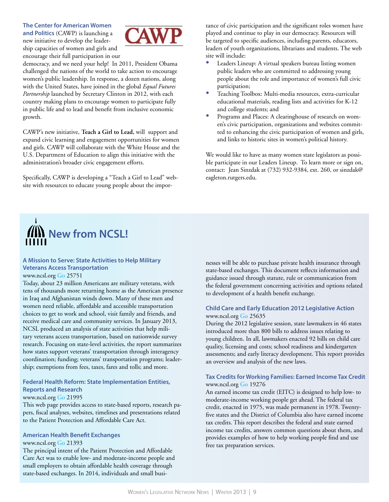**The Center for American Women and Politics** (CAWP) is launching a new initiative to develop the leadership capacities of women and girls and encourage their full participation in our



democracy, and we need your help!In 2011, President Obama challenged the nations of the world to take action to encourage women's public leadership. In response, a dozen nations, along with the United States, have joined in the global *Equal Futures Partnership* launched by Secretary Clinton in 2012, with each country making plans to encourage women to participate fully in public life and to lead and benefit from inclusive economic growth.

CAWP's new initiative, **Teach a Girl to Lead,** will support and expand civic learning and engagement opportunities for women and girls. CAWP will collaborate with the White House and the U.S. Department of Education to align this initiative with the administration's broader civic engagement efforts.

Specifically, CAWP is developing a "Teach a Girl to Lead" website with resources to educate young people about the importance of civic participation and the significant roles women have played and continue to play in our democracy. Resources will be targeted to specific audiences, including parents, educators, leaders of youth organizations, librarians and students. The web site will include:

- Leaders Lineup: A virtual speakers bureau listing women public leaders who are committed to addressing young people about the role and importance of women's full civic participation;
- Teaching Toolbox: Multi-media resources, extra-curricular educational materials, reading lists and activities for K-12 and college students; and
- Programs and Places: A clearinghouse of research on women's civic participation, organizations and websites committed to enhancing the civic participation of women and girls, and links to historic sites in women's political history.

We would like to have as many women state legislators as possible participate in our Leaders Lineup. To learn more or sign on, contact: Jean Sinzdak at (732) 932-9384, ext. 260, or sinzdak@ eagleton.rutgers.edu.



### **A Mission to Serve: State Activities to Help Military Veterans Access Transportation**

#### [www.ncsl.org](http://www.ncsl.org) [Go 25751](http://www.ncsl.org/default.aspx?TabId=25751)

Today, about 23 million Americans are military veterans, with tens of thousands more returning home as the American presence in Iraq and Afghanistan winds down. Many of these men and women need reliable, affordable and accessible transportation choices to get to work and school, visit family and friends, and receive medical care and community services. In January 2013, NCSL produced an analysis of state activities that help military veterans access transportation, based on nationwide survey research. Focusing on state-level activities, the report summarizes how states support veterans' transportation through interagency coordination; funding; veterans' transportation programs; leadership; exemptions from fees, taxes, fares and tolls; and more.

### **Federal Health Reform: State Implementation Entities, Reports and Research**

#### [www.ncsl.org](http://www.ncsl.org) [Go 21995](http://www.ncsl.org/default.aspx?TabId=21995)

This web page provides access to state-based reports, research papers, fiscal analyses, websites, timelines and presentations related to the Patient Protection and Affordable Care Act.

### **American Health Benefit Exchanges**

### [www.ncsl.org](http://www.ncsl.org) [Go 21393](http://www.ncsl.org/default.aspx?TabId=21393)

The principal intent of the Patient Protection and Affordable Care Act was to enable low- and moderate-income people and small employers to obtain affordable health coverage through state-based exchanges. In 2014, individuals and small businesses will be able to purchase private health insurance through state-based exchanges. This document reflects information and guidance issued through statute, rule or communication from the federal government concerning activities and options related to development of a health benefit exchange.

### **Child Care and Early Education 2012 Legislative Action** [www.ncsl.org](http://www.ncsl.org) [Go 25635](http://www.ncsl.org/default.aspx?TabId=25635)

During the 2012 legislative session, state lawmakers in 46 states introduced more than 800 bills to address issues relating to young children. In all, lawmakers enacted 92 bills on child care quality, licensing and costs; school readiness and kindergarten assessments; and early literacy development. This report provides an overview and analysis of the new laws.

### **Tax Credits for Working Families: Earned Income Tax Credit**  [www.ncsl.org](http://www.ncsl.org) [Go 19276](http://www.ncsl.org/default.aspx?TabId=19276)

An earned income tax credit (EITC) is designed to help low- to moderate-income working people get ahead. The federal tax credit, enacted in 1975, was made permanent in 1978. Twentyfive states and the District of Columbia also have earned income tax credits. This report describes the federal and state earned income tax credits, answers common questions about them, and provides examples of how to help working people find and use free tax preparation services.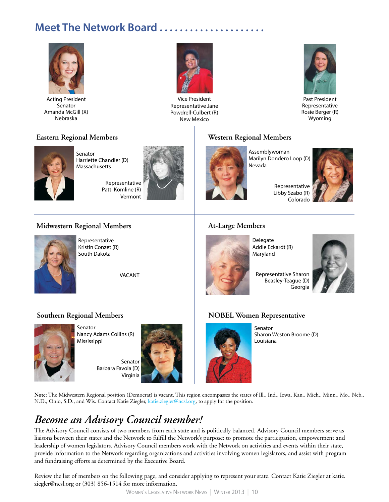# **Meet The Network Board . . . . . . . . . . . . . . . . . . . . .**



Acting President **Senator** Amanda McGill (X) Nebraska



Vice President Representative Jane Powdrell-Culbert (R) New Mexico



Past President Representative Rosie Berger (R) Wyoming

### **Eastern Regional Members**



Senator Harriette Chandler (D) Massachusetts

Representative Patti Komline (R) Vermont



### **Western Regional Members**



Assemblywoman Marilyn Dondero Loop (D) Nevada



Representative Libby Szabo (R) Colorado

### **Midwestern Regional Members**



Representative Kristin Conzet (R) South Dakota

VACANT

### **At-Large Members**



Delegate Addie Eckardt (R) Maryland

Representative Sharon Beasley-Teague (D) Georgia



### **Southern Regional Members**



Senator Nancy Adams Collins (R) Mississippi

Senator Barbara Favola (D) Virginia



### **NOBEL Women Representative**



Senator Sharon Weston Broome (D) Louisiana

**Note:** The Midwestern Regional position (Democrat) is vacant. This region encompasses the states of Ill., Ind., Iowa, Kan., Mich., Minn., Mo., Neb., N.D., Ohio, S.D., and Wis. Contact Katie Ziegler, katie.ziegler@ncsl.org, to apply for the position.

# *Become an Advisory Council member!*

The Advisory Council consists of two members from each state and is politically balanced. Advisory Council members serve as liaisons between their states and the Network to fulfill the Network's purpose: to promote the participation, empowerment and leadership of women legislators. Advisory Council members work with the Network on activities and events within their state, provide information to the Network regarding organizations and activities involving women legislators, and assist with program and fundraising efforts as determined by the Executive Board.

Review the list of members on the following page, and consider applying to represent your state. Contact Katie Ziegler at katie. ziegler@ncsl.org or (303) 856-1514 for more information.